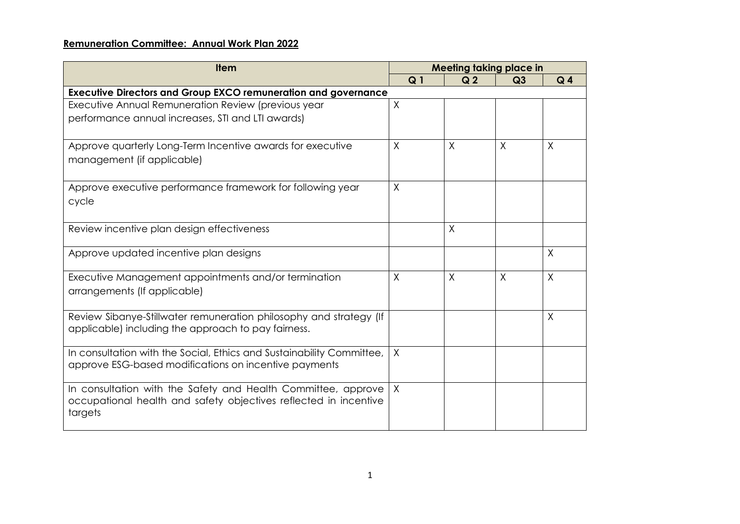## **Remuneration Committee: Annual Work Plan 2022**

| <b>Item</b>                                                                                                                    | <b>Meeting taking place in</b> |                |                |                |  |  |  |
|--------------------------------------------------------------------------------------------------------------------------------|--------------------------------|----------------|----------------|----------------|--|--|--|
|                                                                                                                                | Q <sub>1</sub>                 | Q <sub>2</sub> | Q <sub>3</sub> | Q <sub>4</sub> |  |  |  |
| <b>Executive Directors and Group EXCO remuneration and governance</b>                                                          |                                |                |                |                |  |  |  |
| Executive Annual Remuneration Review (previous year                                                                            | $\sf X$                        |                |                |                |  |  |  |
| performance annual increases, STI and LTI awards)                                                                              |                                |                |                |                |  |  |  |
| Approve quarterly Long-Term Incentive awards for executive                                                                     | $\sf X$                        | X              | X              | X              |  |  |  |
| management (if applicable)                                                                                                     |                                |                |                |                |  |  |  |
| Approve executive performance framework for following year                                                                     | $\times$                       |                |                |                |  |  |  |
| cycle                                                                                                                          |                                |                |                |                |  |  |  |
| Review incentive plan design effectiveness                                                                                     |                                | X              |                |                |  |  |  |
| Approve updated incentive plan designs                                                                                         |                                |                |                | $\sf X$        |  |  |  |
| Executive Management appointments and/or termination                                                                           | $\times$                       | $\times$       | $\times$       | $\times$       |  |  |  |
| arrangements (If applicable)                                                                                                   |                                |                |                |                |  |  |  |
| Review Sibanye-Stillwater remuneration philosophy and strategy (If<br>applicable) including the approach to pay fairness.      |                                |                |                | $\times$       |  |  |  |
|                                                                                                                                |                                |                |                |                |  |  |  |
| In consultation with the Social, Ethics and Sustainability Committee,<br>approve ESG-based modifications on incentive payments | $\times$                       |                |                |                |  |  |  |
|                                                                                                                                |                                |                |                |                |  |  |  |
| In consultation with the Safety and Health Committee, approve                                                                  | $\chi$                         |                |                |                |  |  |  |
| occupational health and safety objectives reflected in incentive<br>targets                                                    |                                |                |                |                |  |  |  |
|                                                                                                                                |                                |                |                |                |  |  |  |